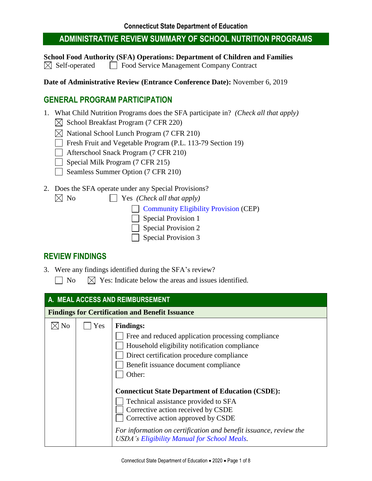**School Food Authority (SFA) Operations: Department of Children and Families**  $\boxtimes$  Self-operated  $\Box$  Food Service Management Company Contract

**Date of Administrative Review (Entrance Conference Date):** November 6, 2019

#### **GENERAL PROGRAM PARTICIPATION**

- 1. What Child Nutrition Programs does the SFA participate in? *(Check all that apply)*
	- $\boxtimes$  School Breakfast Program (7 CFR 220)
	- $\boxtimes$  National School Lunch Program (7 CFR 210)
	- Fresh Fruit and Vegetable Program (P.L. 113-79 Section 19)
	- Afterschool Snack Program (7 CFR 210)
	- $\Box$  Special Milk Program (7 CFR 215)
	- Seamless Summer Option (7 CFR 210)
- 2. Does the SFA operate under any Special Provisions?
	- $\boxtimes$  No  $\Box$  Yes *(Check all that apply)*

**[Community Eligibility Provision](https://portal.ct.gov/SDE/Nutrition/Community-Eligibility-Provision) (CEP)** 

- Special Provision 1
- Special Provision 2
- Special Provision 3

#### **REVIEW FINDINGS**

- 3. Were any findings identified during the SFA's review?
	- $\Box$  No  $\Box$  Yes: Indicate below the areas and issues identified.

| A. MEAL ACCESS AND REIMBURSEMENT |                                                        |                                                                                                                                                                                                                                                                                                                                                                                                                                                                                                                                   |  |
|----------------------------------|--------------------------------------------------------|-----------------------------------------------------------------------------------------------------------------------------------------------------------------------------------------------------------------------------------------------------------------------------------------------------------------------------------------------------------------------------------------------------------------------------------------------------------------------------------------------------------------------------------|--|
|                                  | <b>Findings for Certification and Benefit Issuance</b> |                                                                                                                                                                                                                                                                                                                                                                                                                                                                                                                                   |  |
| N <sub>o</sub>                   | Yes                                                    | <b>Findings:</b><br>Free and reduced application processing compliance<br>Household eligibility notification compliance<br>Direct certification procedure compliance<br>Benefit issuance document compliance<br>Other:<br><b>Connecticut State Department of Education (CSDE):</b><br>Technical assistance provided to SFA<br>Corrective action received by CSDE<br>Corrective action approved by CSDE<br>For information on certification and benefit issuance, review the<br><b>USDA's Eligibility Manual for School Meals.</b> |  |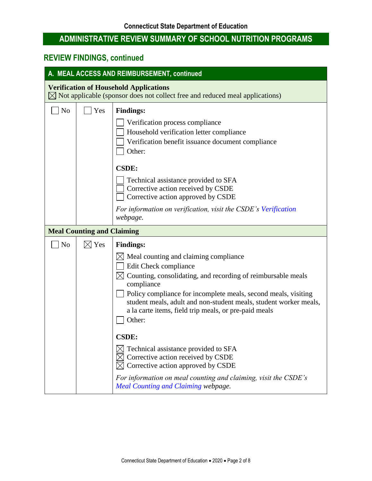| A. MEAL ACCESS AND REIMBURSEMENT, continued                                                                                               |                                   |                                                                                                                                                                                                                                                                                                                                                                                                                                                                                                                                                                                                                                                              |
|-------------------------------------------------------------------------------------------------------------------------------------------|-----------------------------------|--------------------------------------------------------------------------------------------------------------------------------------------------------------------------------------------------------------------------------------------------------------------------------------------------------------------------------------------------------------------------------------------------------------------------------------------------------------------------------------------------------------------------------------------------------------------------------------------------------------------------------------------------------------|
| <b>Verification of Household Applications</b><br>$\boxtimes$ Not applicable (sponsor does not collect free and reduced meal applications) |                                   |                                                                                                                                                                                                                                                                                                                                                                                                                                                                                                                                                                                                                                                              |
| N <sub>o</sub>                                                                                                                            | Yes                               | <b>Findings:</b><br>Verification process compliance<br>Household verification letter compliance<br>Verification benefit issuance document compliance<br>Other:<br><b>CSDE:</b><br>Technical assistance provided to SFA<br>Corrective action received by CSDE<br>Corrective action approved by CSDE                                                                                                                                                                                                                                                                                                                                                           |
|                                                                                                                                           |                                   | For information on verification, visit the CSDE's Verification<br>webpage.                                                                                                                                                                                                                                                                                                                                                                                                                                                                                                                                                                                   |
|                                                                                                                                           | <b>Meal Counting and Claiming</b> |                                                                                                                                                                                                                                                                                                                                                                                                                                                                                                                                                                                                                                                              |
| N <sub>o</sub>                                                                                                                            | $\boxtimes$ Yes                   | <b>Findings:</b><br>$\boxtimes$ Meal counting and claiming compliance<br>Edit Check compliance<br>$\boxtimes$ Counting, consolidating, and recording of reimbursable meals<br>compliance<br>Policy compliance for incomplete meals, second meals, visiting<br>student meals, adult and non-student meals, student worker meals,<br>a la carte items, field trip meals, or pre-paid meals<br>Other:<br><b>CSDE:</b><br>Technical assistance provided to SFA<br>$\boxtimes$ Corrective action received by CSDE<br>Corrective action approved by CSDE<br>For information on meal counting and claiming, visit the CSDE's<br>Meal Counting and Claiming webpage. |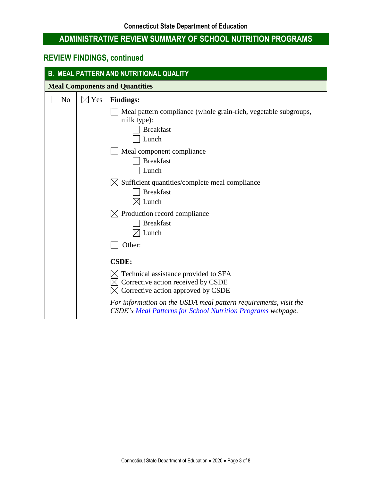| <b>B. MEAL PATTERN AND NUTRITIONAL QUALITY</b> |                 |                                                                                                                                        |
|------------------------------------------------|-----------------|----------------------------------------------------------------------------------------------------------------------------------------|
| <b>Meal Components and Quantities</b>          |                 |                                                                                                                                        |
| N <sub>o</sub>                                 | $\boxtimes$ Yes | <b>Findings:</b>                                                                                                                       |
|                                                |                 | Meal pattern compliance (whole grain-rich, vegetable subgroups,<br>milk type):<br><b>Breakfast</b><br>Lunch                            |
|                                                |                 | Meal component compliance<br><b>Breakfast</b><br>Lunch                                                                                 |
|                                                |                 | $\boxtimes$ Sufficient quantities/complete meal compliance<br><b>Breakfast</b><br>Lunch                                                |
|                                                |                 | $\boxtimes$ Production record compliance<br><b>Breakfast</b><br>Lunch                                                                  |
|                                                |                 | Other:                                                                                                                                 |
|                                                |                 | <b>CSDE:</b>                                                                                                                           |
|                                                |                 | Technical assistance provided to SFA<br>Corrective action received by CSDE<br>Corrective action approved by CSDE                       |
|                                                |                 | For information on the USDA meal pattern requirements, visit the<br><b>CSDE's Meal Patterns for School Nutrition Programs webpage.</b> |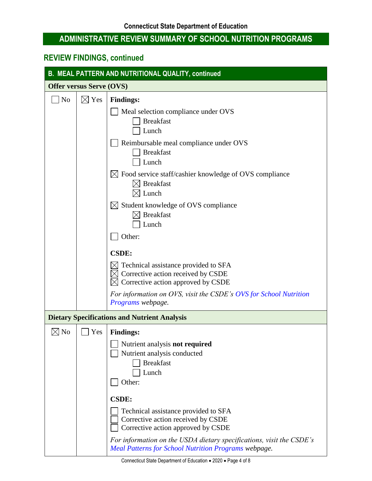| <b>B. MEAL PATTERN AND NUTRITIONAL QUALITY, continued</b> |                 |                                                                                                                                     |
|-----------------------------------------------------------|-----------------|-------------------------------------------------------------------------------------------------------------------------------------|
| <b>Offer versus Serve (OVS)</b>                           |                 |                                                                                                                                     |
| N <sub>o</sub>                                            | $\boxtimes$ Yes | <b>Findings:</b>                                                                                                                    |
|                                                           |                 | Meal selection compliance under OVS<br><b>Breakfast</b><br>Lunch                                                                    |
|                                                           |                 | Reimbursable meal compliance under OVS<br><b>Breakfast</b><br>Lunch                                                                 |
|                                                           |                 | $\boxtimes$ Food service staff/cashier knowledge of OVS compliance<br><b>Breakfast</b><br>Lunch                                     |
|                                                           |                 | $\boxtimes$ Student knowledge of OVS compliance<br>$\boxtimes$ Breakfast<br>Lunch                                                   |
|                                                           |                 | Other:                                                                                                                              |
|                                                           |                 | <b>CSDE:</b>                                                                                                                        |
|                                                           |                 | Technical assistance provided to SFA<br>Corrective action received by CSDE<br>Corrective action approved by CSDE                    |
|                                                           |                 | For information on OVS, visit the CSDE's OVS for School Nutrition<br>Programs webpage.                                              |
|                                                           |                 | <b>Dietary Specifications and Nutrient Analysis</b>                                                                                 |
| $\boxtimes$ No                                            | Yes             | <b>Findings:</b>                                                                                                                    |
|                                                           |                 | Nutrient analysis not required<br>Nutrient analysis conducted<br><b>Breakfast</b><br>Lunch<br>Other:                                |
|                                                           |                 | <b>CSDE:</b>                                                                                                                        |
|                                                           |                 | Technical assistance provided to SFA<br>Corrective action received by CSDE<br>Corrective action approved by CSDE                    |
|                                                           |                 | For information on the USDA dietary specifications, visit the CSDE's<br><b>Meal Patterns for School Nutrition Programs webpage.</b> |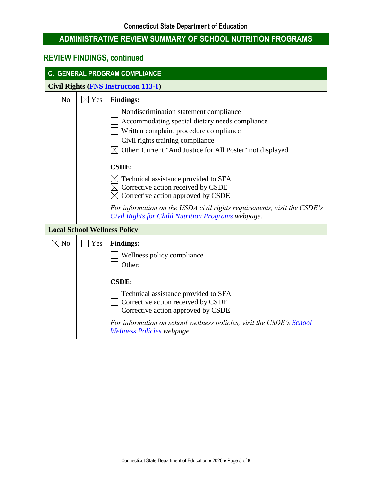| <b>C. GENERAL PROGRAM COMPLIANCE</b> |                                             |                                                                                                                                                                                                                                                                                                                                                                                                                                                                        |  |
|--------------------------------------|---------------------------------------------|------------------------------------------------------------------------------------------------------------------------------------------------------------------------------------------------------------------------------------------------------------------------------------------------------------------------------------------------------------------------------------------------------------------------------------------------------------------------|--|
|                                      | <b>Civil Rights (FNS Instruction 113-1)</b> |                                                                                                                                                                                                                                                                                                                                                                                                                                                                        |  |
| N <sub>o</sub>                       | $\boxtimes$ Yes                             | <b>Findings:</b><br>Nondiscrimination statement compliance<br>Accommodating special dietary needs compliance<br>Written complaint procedure compliance<br>Civil rights training compliance<br>Other: Current "And Justice for All Poster" not displayed<br><b>CSDE:</b><br>Technical assistance provided to SFA<br>Corrective action received by CSDE<br>Corrective action approved by CSDE<br>For information on the USDA civil rights requirements, visit the CSDE's |  |
|                                      |                                             | Civil Rights for Child Nutrition Programs webpage.                                                                                                                                                                                                                                                                                                                                                                                                                     |  |
|                                      |                                             | <b>Local School Wellness Policy</b>                                                                                                                                                                                                                                                                                                                                                                                                                                    |  |
| $\boxtimes$ No                       | Yes                                         | <b>Findings:</b><br>Wellness policy compliance<br>Other:<br><b>CSDE:</b><br>Technical assistance provided to SFA<br>Corrective action received by CSDE<br>Corrective action approved by CSDE<br>For information on school wellness policies, visit the CSDE's School<br>Wellness Policies webpage.                                                                                                                                                                     |  |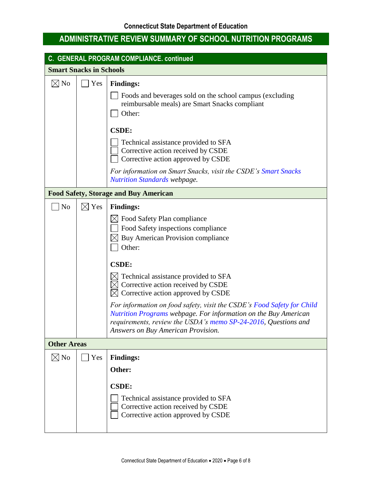| C. GENERAL PROGRAM COMPLIANCE. continued     |                                |                                                                                                                                                                                                                                                                                                                                                                                                                                                                                                                               |  |
|----------------------------------------------|--------------------------------|-------------------------------------------------------------------------------------------------------------------------------------------------------------------------------------------------------------------------------------------------------------------------------------------------------------------------------------------------------------------------------------------------------------------------------------------------------------------------------------------------------------------------------|--|
|                                              | <b>Smart Snacks in Schools</b> |                                                                                                                                                                                                                                                                                                                                                                                                                                                                                                                               |  |
| $\boxtimes$ No                               | Yes                            | <b>Findings:</b><br>Foods and beverages sold on the school campus (excluding<br>reimbursable meals) are Smart Snacks compliant<br>Other:                                                                                                                                                                                                                                                                                                                                                                                      |  |
|                                              |                                | <b>CSDE:</b><br>Technical assistance provided to SFA<br>Corrective action received by CSDE<br>Corrective action approved by CSDE<br>For information on Smart Snacks, visit the CSDE's Smart Snacks<br><b>Nutrition Standards webpage.</b>                                                                                                                                                                                                                                                                                     |  |
| <b>Food Safety, Storage and Buy American</b> |                                |                                                                                                                                                                                                                                                                                                                                                                                                                                                                                                                               |  |
| N <sub>o</sub>                               | $\boxtimes$ Yes                | <b>Findings:</b><br>Food Safety Plan compliance<br>Food Safety inspections compliance<br>Buy American Provision compliance<br>Other:<br><b>CSDE:</b><br>Technical assistance provided to SFA<br>Corrective action received by CSDE<br>Corrective action approved by CSDE<br>For information on food safety, visit the CSDE's Food Safety for Child<br>Nutrition Programs webpage. For information on the Buy American<br>requirements, review the USDA's memo SP-24-2016, Questions and<br>Answers on Buy American Provision. |  |
| <b>Other Areas</b>                           |                                |                                                                                                                                                                                                                                                                                                                                                                                                                                                                                                                               |  |
| $\boxtimes$ No                               | Yes                            | <b>Findings:</b><br>Other:<br><b>CSDE:</b><br>Technical assistance provided to SFA<br>Corrective action received by CSDE<br>Corrective action approved by CSDE                                                                                                                                                                                                                                                                                                                                                                |  |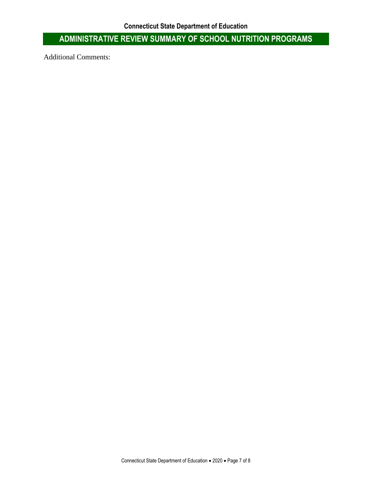Additional Comments: